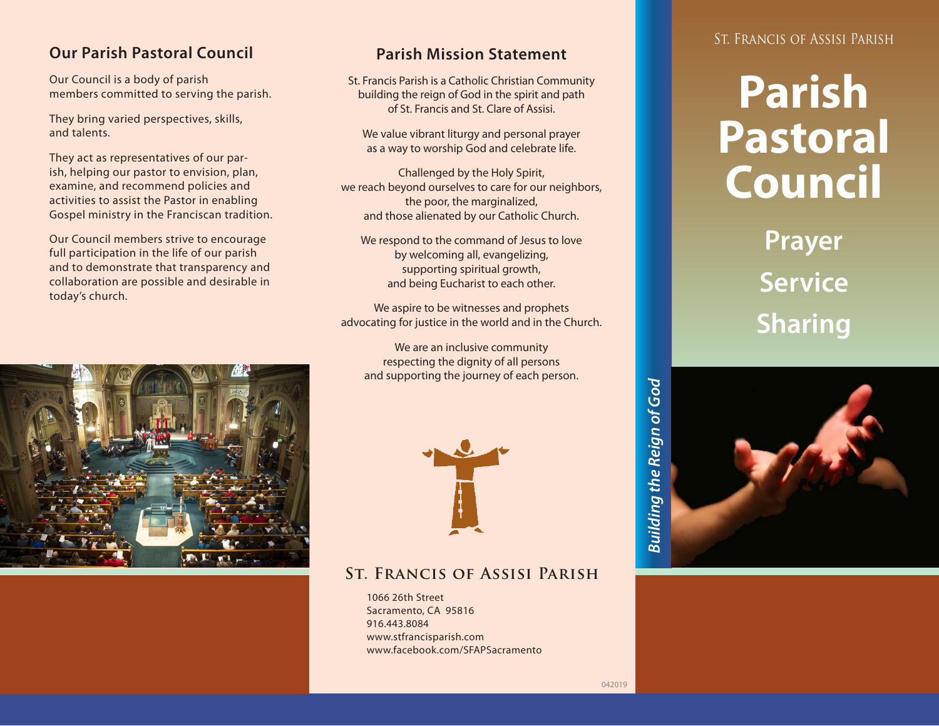#### **Our Parish Pastoral Council**

Our Council is a body of parish members committed to serving the parish.

They bring varied perspectives, skills, and talents.

They act as representatives of our parish, helping our pastor to envision, plan, examine, and recommend policies and activities to assist the Pastor in enabling Gospel ministry in the Franciscan tradition.

Our Council members strive to encourage full participation in the life of our parish and to demonstrate that transparency and collaboration are possible and desirable in today's church.



#### **Parish Mission Statement**

St. Francis Parish is a Catholic Christian Community building the reign of God in the spirit and path of St. Francis and St. Clare of Assisi.

We value vibrant liturgy and personal prayer as a way to worship God and celebrate life.

Challenged by the Holy Spirit, we reach beyond ourselves to care for our neighbors, the poor, the marginalized, and those alienated by our Catholic Church.

We respond to the command of Jesus to love by welcoming all, evangelizing, supporting spiritual growth, and being Eucharist to each other.

We aspire to be witnesses and prophets advocating for justice in the world and in the Church.

We are an inclusive community respecting the dignity of all persons and supporting the journey of each person.



#### **St. Francis of Assisi Parish**

1066 26th Street Sacramento, CA 95816 916.443.8084 www.stfrancisparish.com www.facebook.com/SFAPSacramento

#### St. Francis of Assisi Parish

# **Parish Pastoral Council**

**Prayer Service Sharing**